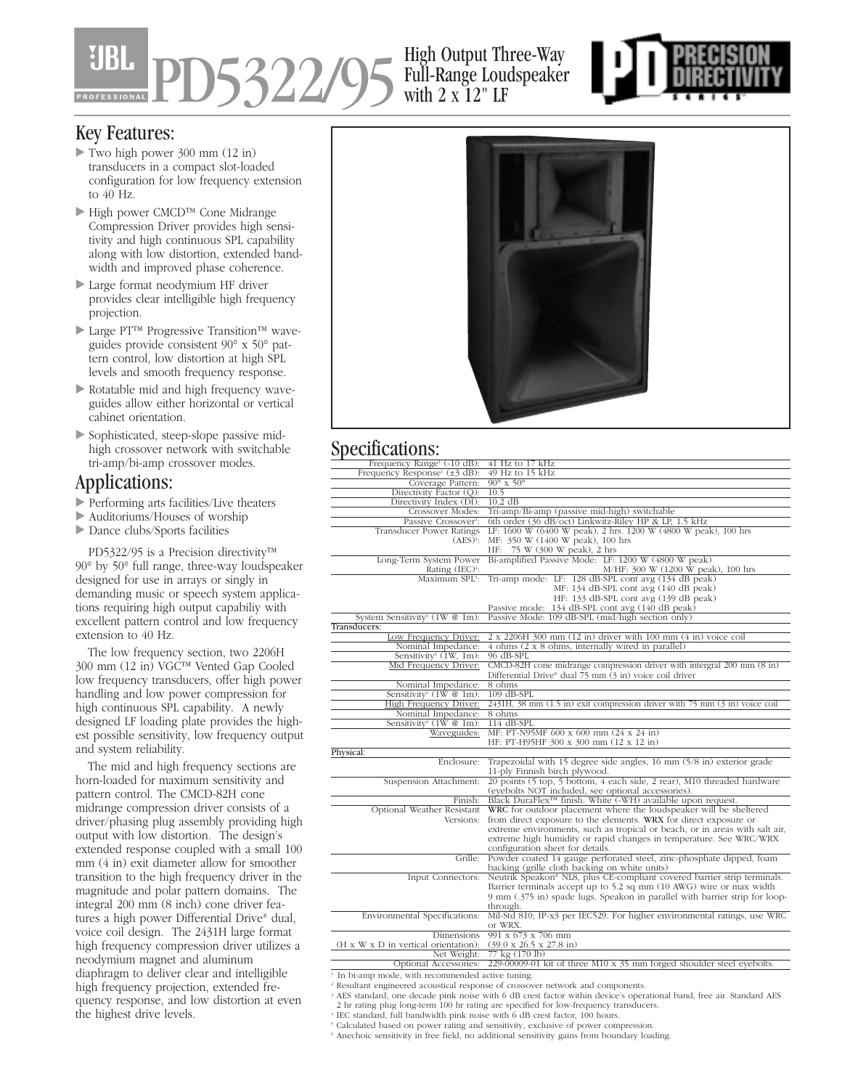**15322/** 

### High Output Three-Way Full-Range Loudspeaker with  $2 \times 12$ " LF



### Key Features:

- Two high power 300 mm (12 in) transducers in a compact slot-loaded configuration for low frequency extension to 40 Hz.
- High power CMCD™ Cone Midrange Compression Driver provides high sensitivity and high continuous SPL capability along with low distortion, extended bandwidth and improved phase coherence.
- Large format neodymium HF driver provides clear intelligible high frequency projection.
- Large PT™ Progressive Transition™ waveguides provide consistent 90° x 50° pattern control, low distortion at high SPL levels and smooth frequency response.
- Rotatable mid and high frequency waveguides allow either horizontal or vertical cabinet orientation.
- Sophisticated, steep-slope passive midhigh crossover network with switchable tri-amp/bi-amp crossover modes.

## Applications:

- Performing arts facilities/Live theaters
- Auditoriums/Houses of worship
- Dance clubs/Sports facilities

PD5322/95 is a Precision directivity™ 90° by 50° full range, three-way loudspeaker designed for use in arrays or singly in demanding music or speech system applications requiring high output capabiliy with excellent pattern control and low frequency extension to 40 Hz.

The low frequency section, two 2206H 300 mm (12 in) VGC™ Vented Gap Cooled low frequency transducers, offer high power handling and low power compression for high continuous SPL capability. A newly designed LF loading plate provides the highest possible sensitivity, low frequency output and system reliability.

The mid and high frequency sections are horn-loaded for maximum sensitivity and pattern control. The CMCD-82H cone midrange compression driver consists of a driver/phasing plug assembly providing high output with low distortion. The design's extended response coupled with a small 100 mm (4 in) exit diameter allow for smoother transition to the high frequency driver in the magnitude and polar pattern domains. The integral 200 mm (8 inch) cone driver features a high power Differential Drive® dual, voice coil design. The 2431H large format high frequency compression driver utilizes a neodymium magnet and aluminum diaphragm to deliver clear and intelligible high frequency projection, extended frequency response, and low distortion at even the highest drive levels.



# Specifications<sup>.</sup>

| Frequency Range <sup>1</sup> (-10 dB):                   | 41 Hz to 17 kHz                                                                                   |
|----------------------------------------------------------|---------------------------------------------------------------------------------------------------|
| Frequency Response <sup>1</sup> ( $\pm$ 3 dB):           | $49$ Hz to 15 kHz                                                                                 |
| Coverage Pattern:                                        | $90^\circ \times 50^\circ$                                                                        |
| Directivity Factor (Q):                                  | 10.5                                                                                              |
| Directivity Index (DI):                                  | 10.2 dB                                                                                           |
| Crossover Modes:                                         | Tri-amp/Bi-amp (passive mid-high) switchable                                                      |
| Passive Crossover <sup>2</sup> :                         | 6th order (36 dB/oct) Linkwitz-Riley HP & LP, 1.5 kHz                                             |
| Transducer Power Ratings                                 | LF: 1600 W (6400 W peak), 2 hrs. 1200 W (4800 W peak), 100 hrs                                    |
| $(AES)^3$ :                                              | MF: 350 W (1400 W peak), 100 hrs                                                                  |
|                                                          | HF: 75 W (300 W peak), 2 hrs                                                                      |
| Long-Term System Power                                   | Bi-amplified Passive Mode: LF: 1200 W (4800 W peak)                                               |
| Rating $(IEC)^4$ :                                       | M/HF: 300 W (1200 W peak), 100 hrs                                                                |
| Maximum SPL5:                                            | Tri-amp mode: LF: 128 dB-SPL cont avg (134 dB peak)                                               |
|                                                          | MF: 134 dB-SPL cont avg (140 dB peak)                                                             |
|                                                          | HF: 133 dB-SPL cont avg (139 dB peak)                                                             |
|                                                          | Passive mode: 134 dB-SPL cont avg (140 dB peak)                                                   |
| System Sensitivity <sup>6</sup> (1W @ 1m):               | Passive Mode: 109 dB-SPL (mid/high section only)                                                  |
| Transducers:                                             |                                                                                                   |
| Low Frequency Driver:                                    | $2 \times 2206$ H 300 mm $(12 \text{ in})$ driver with 100 mm $(4 \text{ in})$ voice coil         |
| Nominal Impedance:<br>Sensitivity <sup>6</sup> (1W, 1m): | 4 ohms (2 x 8 ohms, internally wired in parallel)<br>96 dB-SPL                                    |
| Mid Frequency Driver:                                    | CMCD-82H cone midrange compression driver with intergral 200 mm (8 in)                            |
|                                                          | Differential Drive® dual 75 mm (3 in) voice coil driver                                           |
| Nominal Impedance:                                       | 8 ohms                                                                                            |
| Sensitivity <sup>6</sup> (1W $@$ 1m):                    | $109$ dB-SPL                                                                                      |
| High Frequency Driver:                                   | $2431H$ , 38 mm $(1.5 \text{ in})$ exit compression driver with 75 mm $(3 \text{ in})$ voice coil |
| Nominal Impedance:                                       | 8 ohms                                                                                            |
| Sensitivity <sup>6</sup> (1W @ 1m):                      | 114 dB-SPL                                                                                        |
| Waveguides:                                              | MF: PT-N95MF 600 x 600 mm (24 x 24 in)                                                            |
|                                                          | HF: PT-H95HF 300 x 300 mm (12 x 12 in)                                                            |
| Physical:                                                |                                                                                                   |
| Enclosure:                                               | Trapezoidal with 15 degree side angles, 16 mm $(5/8)$ in) exterior grade                          |
|                                                          | 11-ply Finnish birch plywood.                                                                     |
| Suspension Attachment:                                   | 20 points (5 top, 5 bottom, 4 each side, 2 rear), M10 threaded hardware                           |
|                                                          | (eyebolts NOT included, see optional accessories).                                                |
| Finish:                                                  | Black DuraFlex <sup>™</sup> finish. White (-WH) available upon request.                           |
| Optional Weather Resistant                               | WRC for outdoor placement where the loudspeaker will be sheltered                                 |
| Versions:                                                | from direct exposure to the elements. WRX for direct exposure or                                  |
|                                                          | extreme environments, such as tropical or beach, or in areas with salt air,                       |
|                                                          | extreme high humidity or rapid changes in temperature. See WRC/WRX                                |
|                                                          | configuration sheet for details.                                                                  |
| Grille:                                                  | Powder coated 14 gauge perforated steel, zinc-phosphate dipped, foam                              |
|                                                          | backing (grille cloth backing on white units)                                                     |
| Input Connectors:                                        | Neutrik Speakon® NL8, plus CE-compliant covered barrier strip terminals.                          |
|                                                          | Barrier terminals accept up to 5.2 sq mm (10 AWG) wire or max width                               |
|                                                          | 9 mm (.375 in) spade lugs. Speakon in parallel with barrier strip for loop-                       |
|                                                          | through.                                                                                          |
| Environmental Specifications:                            | Mil-Std 810; IP-x3 per IEC529. For higher environmental ratings, use WRC                          |
|                                                          | or WRX.                                                                                           |
| Dimensions                                               | 991 x $673$ x 706 mm                                                                              |
| (H x W x D in vertical orientation):                     | $(39.0 \times 26.5 \times 27.8 \text{ in})$                                                       |
| Net Weight:                                              | 77 kg (170 lb)                                                                                    |
| Optional Accessories:                                    | 229-00009-01 kit of three M10 $x$ 35 mm forged shoulder steel eyebolts.                           |

<sup>1.</sup> In bi-amp mode, with recommended active tuning.

<sup>&</sup>lt;sup>2</sup> Resultant engineered acoustical response of crossover network and components.

<sup>3</sup> AES standard, one decade pink noise with 6 dB crest factor within device's operational band, free air. Standard AES 2 hr rating plug long-term 100 hr rating are specified for low-frequency transducers.

<sup>4</sup> IEC standard, full bandwidth pink noise with 6 dB crest factor, 100 hours.

<sup>&</sup>lt;sup>5</sup> Calculated based on power rating and sensitivity, exclusive of power compression.  $6$  Anechoic sensitivity in free field, no additional sensitivity gains from boundary loading.